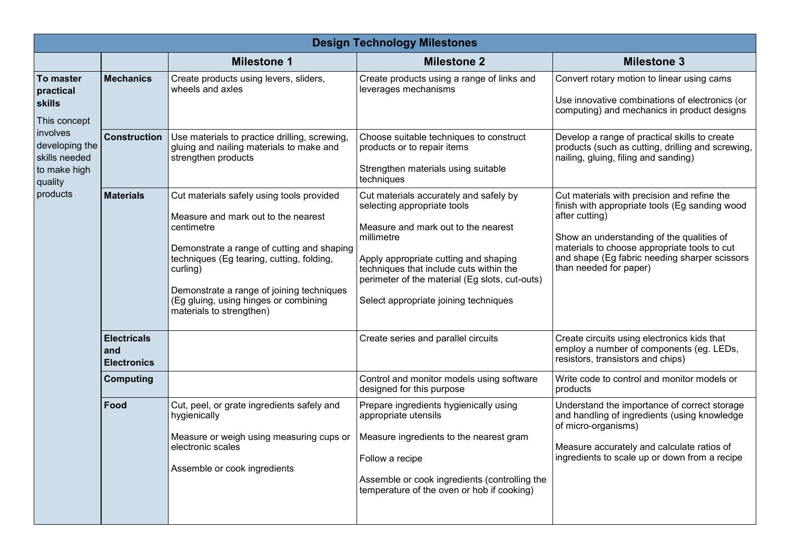| <b>Design Technology Milestones</b>                                                                                                                  |                                                 |                                                                                                                                                                                                                                                                                                                         |                                                                                                                                                                                                                                                                                                           |                                                                                                                                                                                                                                                                                         |  |  |
|------------------------------------------------------------------------------------------------------------------------------------------------------|-------------------------------------------------|-------------------------------------------------------------------------------------------------------------------------------------------------------------------------------------------------------------------------------------------------------------------------------------------------------------------------|-----------------------------------------------------------------------------------------------------------------------------------------------------------------------------------------------------------------------------------------------------------------------------------------------------------|-----------------------------------------------------------------------------------------------------------------------------------------------------------------------------------------------------------------------------------------------------------------------------------------|--|--|
|                                                                                                                                                      |                                                 | <b>Milestone 1</b>                                                                                                                                                                                                                                                                                                      | <b>Milestone 2</b>                                                                                                                                                                                                                                                                                        | <b>Milestone 3</b>                                                                                                                                                                                                                                                                      |  |  |
| <b>To master</b><br>practical<br><b>skills</b><br>This concept<br>involves<br>developing the<br>skills needed<br>to make high<br>quality<br>products | <b>Mechanics</b>                                | Create products using levers, sliders,<br>wheels and axles                                                                                                                                                                                                                                                              | Create products using a range of links and<br>leverages mechanisms                                                                                                                                                                                                                                        | Convert rotary motion to linear using cams<br>Use innovative combinations of electronics (or<br>computing) and mechanics in product designs                                                                                                                                             |  |  |
|                                                                                                                                                      | <b>Construction</b>                             | Use materials to practice drilling, screwing,<br>gluing and nailing materials to make and<br>strengthen products                                                                                                                                                                                                        | Choose suitable techniques to construct<br>products or to repair items<br>Strengthen materials using suitable<br>techniques                                                                                                                                                                               | Develop a range of practical skills to create<br>products (such as cutting, drilling and screwing,<br>nailing, gluing, filing and sanding)                                                                                                                                              |  |  |
|                                                                                                                                                      | <b>Materials</b>                                | Cut materials safely using tools provided<br>Measure and mark out to the nearest<br>centimetre<br>Demonstrate a range of cutting and shaping<br>techniques (Eg tearing, cutting, folding,<br>curling)<br>Demonstrate a range of joining techniques<br>(Eg gluing, using hinges or combining<br>materials to strengthen) | Cut materials accurately and safely by<br>selecting appropriate tools<br>Measure and mark out to the nearest<br>millimetre<br>Apply appropriate cutting and shaping<br>techniques that include cuts within the<br>perimeter of the material (Eg slots, cut-outs)<br>Select appropriate joining techniques | Cut materials with precision and refine the<br>finish with appropriate tools (Eg sanding wood<br>after cutting)<br>Show an understanding of the qualities of<br>materials to choose appropriate tools to cut<br>and shape (Eg fabric needing sharper scissors<br>than needed for paper) |  |  |
|                                                                                                                                                      | <b>Electricals</b><br>and<br><b>Electronics</b> |                                                                                                                                                                                                                                                                                                                         | Create series and parallel circuits                                                                                                                                                                                                                                                                       | Create circuits using electronics kids that<br>employ a number of components (eg. LEDs,<br>resistors, transistors and chips)                                                                                                                                                            |  |  |
|                                                                                                                                                      | <b>Computing</b>                                |                                                                                                                                                                                                                                                                                                                         | Control and monitor models using software<br>designed for this purpose                                                                                                                                                                                                                                    | Write code to control and monitor models or<br>products                                                                                                                                                                                                                                 |  |  |
|                                                                                                                                                      | Food                                            | Cut, peel, or grate ingredients safely and<br>hygienically<br>Measure or weigh using measuring cups or<br>electronic scales<br>Assemble or cook ingredients                                                                                                                                                             | Prepare ingredients hygienically using<br>appropriate utensils<br>Measure ingredients to the nearest gram<br>Follow a recipe<br>Assemble or cook ingredients (controlling the<br>temperature of the oven or hob if cooking)                                                                               | Understand the importance of correct storage<br>and handling of ingredients (using knowledge<br>of micro-organisms)<br>Measure accurately and calculate ratios of<br>ingredients to scale up or down from a recipe                                                                      |  |  |